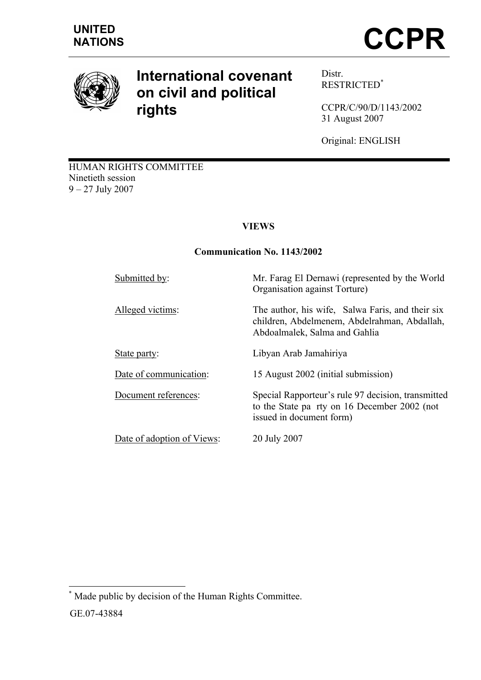

# **International covenant on civil and political rights**

Distr. RESTRICTED\*

CCPR/C/90/D/1143/2002 31 August 2007

Original: ENGLISH

HUMAN RIGHTS COMMITTEE Ninetieth session 9 – 27 July 2007

# **VIEWS**

## **Communication No. 1143/2002**

| Submitted by:              | Mr. Farag El Dernawi (represented by the World<br>Organisation against Torture)                                                   |
|----------------------------|-----------------------------------------------------------------------------------------------------------------------------------|
| Alleged victims:           | The author, his wife, Salwa Faris, and their six<br>children, Abdelmenem, Abdelrahman, Abdallah,<br>Abdoalmalek, Salma and Gahlia |
| State party:               | Libyan Arab Jamahiriya                                                                                                            |
| Date of communication:     | 15 August 2002 (initial submission)                                                                                               |
| Document references:       | Special Rapporteur's rule 97 decision, transmitted<br>to the State pa rty on 16 December 2002 (not<br>issued in document form)    |
| Date of adoption of Views: | 20 July 2007                                                                                                                      |

 $\overline{a}$ \* Made public by decision of the Human Rights Committee.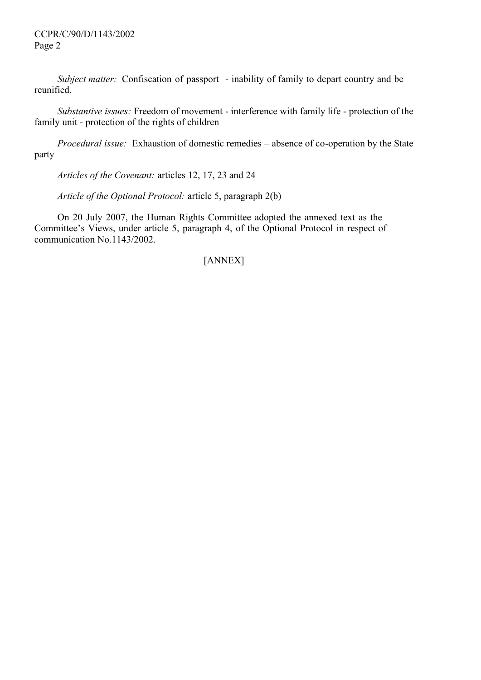#### CCPR/C/90/D/1143/2002 Page 2

*Subject matter:* Confiscation of passport - inability of family to depart country and be reunified.

*Substantive issues:* Freedom of movement - interference with family life - protection of the family unit - protection of the rights of children

*Procedural issue:* Exhaustion of domestic remedies – absence of co-operation by the State party

*Articles of the Covenant:* articles 12, 17, 23 and 24

*Article of the Optional Protocol:* article 5, paragraph 2(b)

On 20 July 2007, the Human Rights Committee adopted the annexed text as the Committee's Views, under article 5, paragraph 4, of the Optional Protocol in respect of communication No.1143/2002.

# [ANNEX]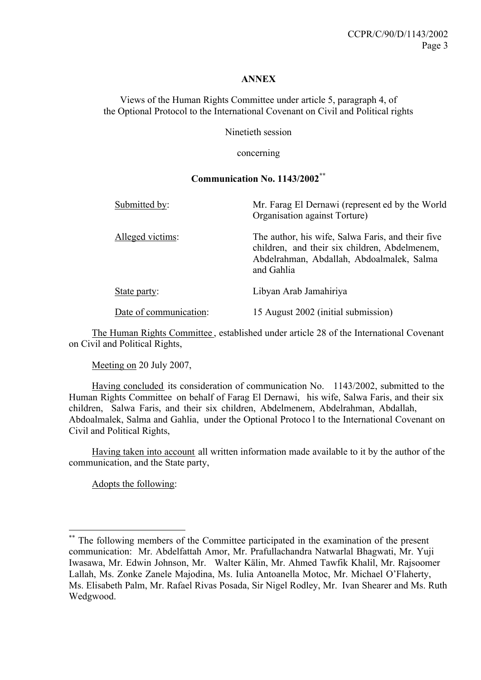#### **ANNEX**

Views of the Human Rights Committee under article 5, paragraph 4, of the Optional Protocol to the International Covenant on Civil and Political rights

Ninetieth session

concerning

#### **Communication No. 1143/2002\*\***

| Submitted by:          | Mr. Farag El Dernawi (represent ed by the World<br>Organisation against Torture)                                                                              |
|------------------------|---------------------------------------------------------------------------------------------------------------------------------------------------------------|
| Alleged victims:       | The author, his wife, Salwa Faris, and their five<br>children, and their six children, Abdelmenem,<br>Abdelrahman, Abdallah, Abdoalmalek, Salma<br>and Gahlia |
| State party:           | Libyan Arab Jamahiriya                                                                                                                                        |
| Date of communication: | 15 August 2002 (initial submission)                                                                                                                           |

The Human Rights Committee , established under article 28 of the International Covenant on Civil and Political Rights,

Meeting on 20 July 2007,

Having concluded its consideration of communication No. 1143/2002, submitted to the Human Rights Committee on behalf of Farag El Dernawi, his wife, Salwa Faris, and their six children, Salwa Faris, and their six children, Abdelmenem, Abdelrahman, Abdallah, Abdoalmalek, Salma and Gahlia, under the Optional Protoco l to the International Covenant on Civil and Political Rights,

Having taken into account all written information made available to it by the author of the communication, and the State party,

Adopts the following:

 $\overline{a}$ 

The following members of the Committee participated in the examination of the present communication: Mr. Abdelfattah Amor, Mr. Prafullachandra Natwarlal Bhagwati, Mr. Yuji Iwasawa, Mr. Edwin Johnson, Mr. Walter Kälin, Mr. Ahmed Tawfik Khalil, Mr. Rajsoomer Lallah, Ms. Zonke Zanele Majodina, Ms. Iulia Antoanella Motoc, Mr. Michael O'Flaherty, Ms. Elisabeth Palm, Mr. Rafael Rivas Posada, Sir Nigel Rodley, Mr. Ivan Shearer and Ms. Ruth Wedgwood.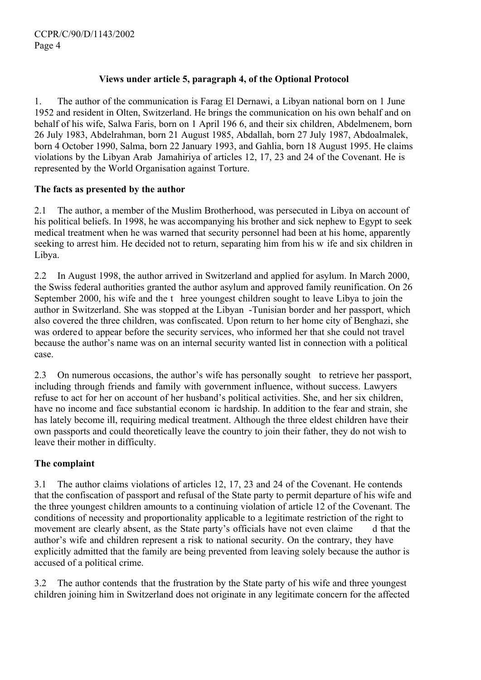## **Views under article 5, paragraph 4, of the Optional Protocol**

1. The author of the communication is Farag El Dernawi, a Libyan national born on 1 June 1952 and resident in Olten, Switzerland. He brings the communication on his own behalf and on behalf of his wife, Salwa Faris, born on 1 April 196 6, and their six children, Abdelmenem, born 26 July 1983, Abdelrahman, born 21 August 1985, Abdallah, born 27 July 1987, Abdoalmalek, born 4 October 1990, Salma, born 22 January 1993, and Gahlia, born 18 August 1995. He claims violations by the Libyan Arab Jamahiriya of articles 12, 17, 23 and 24 of the Covenant. He is represented by the World Organisation against Torture.

## **The facts as presented by the author**

2.1 The author, a member of the Muslim Brotherhood, was persecuted in Libya on account of his political beliefs. In 1998, he was accompanying his brother and sick nephew to Egypt to seek medical treatment when he was warned that security personnel had been at his home, apparently seeking to arrest him. He decided not to return, separating him from his w ife and six children in Libya.

2.2 In August 1998, the author arrived in Switzerland and applied for asylum. In March 2000, the Swiss federal authorities granted the author asylum and approved family reunification. On 26 September 2000, his wife and the t hree youngest children sought to leave Libya to join the author in Switzerland. She was stopped at the Libyan -Tunisian border and her passport, which also covered the three children, was confiscated. Upon return to her home city of Benghazi, she was ordered to appear before the security services, who informed her that she could not travel because the author's name was on an internal security wanted list in connection with a political case.

2.3 On numerous occasions, the author's wife has personally sought to retrieve her passport, including through friends and family with government influence, without success. Lawyers refuse to act for her on account of her husband's political activities. She, and her six children, have no income and face substantial econom ic hardship. In addition to the fear and strain, she has lately become ill, requiring medical treatment. Although the three eldest children have their own passports and could theoretically leave the country to join their father, they do not wish to leave their mother in difficulty.

## **The complaint**

3.1 The author claims violations of articles 12, 17, 23 and 24 of the Covenant. He contends that the confiscation of passport and refusal of the State party to permit departure of his wife and the three youngest children amounts to a continuing violation of article 12 of the Covenant. The conditions of necessity and proportionality applicable to a legitimate restriction of the right to movement are clearly absent, as the State party's officials have not even claime d that the author's wife and children represent a risk to national security. On the contrary, they have explicitly admitted that the family are being prevented from leaving solely because the author is accused of a political crime.

3.2 The author contends that the frustration by the State party of his wife and three youngest children joining him in Switzerland does not originate in any legitimate concern for the affected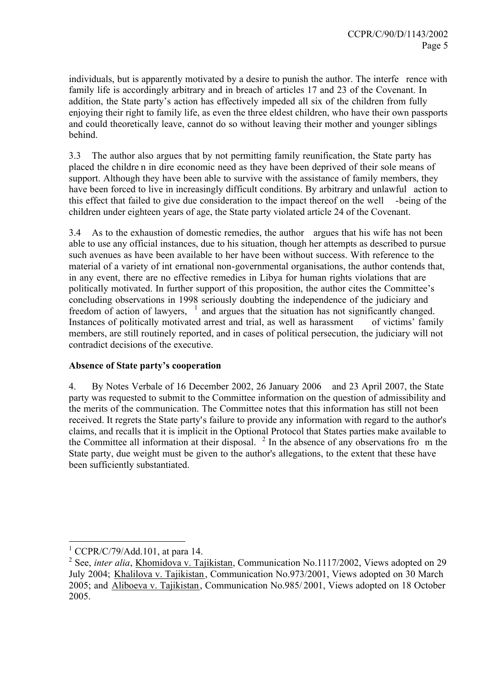individuals, but is apparently motivated by a desire to punish the author. The interfe rence with family life is accordingly arbitrary and in breach of articles 17 and 23 of the Covenant. In addition, the State party's action has effectively impeded all six of the children from fully enjoying their right to family life, as even the three eldest children, who have their own passports and could theoretically leave, cannot do so without leaving their mother and younger siblings behind.

3.3 The author also argues that by not permitting family reunification, the State party has placed the childre n in dire economic need as they have been deprived of their sole means of support. Although they have been able to survive with the assistance of family members, they have been forced to live in increasingly difficult conditions. By arbitrary and unlawful action to this effect that failed to give due consideration to the impact thereof on the well -being of the children under eighteen years of age, the State party violated article 24 of the Covenant.

3.4 As to the exhaustion of domestic remedies, the author argues that his wife has not been able to use any official instances, due to his situation, though her attempts as described to pursue such avenues as have been available to her have been without success. With reference to the material of a variety of int ernational non-governmental organisations, the author contends that, in any event, there are no effective remedies in Libya for human rights violations that are politically motivated. In further support of this proposition, the author cites the Committee's concluding observations in 1998 seriously doubting the independence of the judiciary and freedom of action of lawyers,  $\frac{1}{1}$  and argues that the situation has not significantly changed. Instances of politically motivated arrest and trial, as well as harassment of victims' family members, are still routinely reported, and in cases of political persecution, the judiciary will not contradict decisions of the executive.

#### **Absence of State party's cooperation**

4. By Notes Verbale of 16 December 2002, 26 January 2006 and 23 April 2007, the State party was requested to submit to the Committee information on the question of admissibility and the merits of the communication. The Committee notes that this information has still not been received. It regrets the State party's failure to provide any information with regard to the author's claims, and recalls that it is implicit in the Optional Protocol that States parties make available to the Committee all information at their disposal.  $2 \text{ In the absence of any observations for } m \text{ the}$ State party, due weight must be given to the author's allegations, to the extent that these have been sufficiently substantiated.

 $1$  CCPR/C/79/Add.101, at para 14.

<sup>&</sup>lt;sup>2</sup> See, *inter alia*, *Khomidova v. Tajikistan*, Communication No.1117/2002, Views adopted on 29 July 2004; Khalilova v. Tajikistan, Communication No.973/2001, Views adopted on 30 March 2005; and Aliboeva v. Tajikistan, Communication No.985/ 2001, Views adopted on 18 October 2005.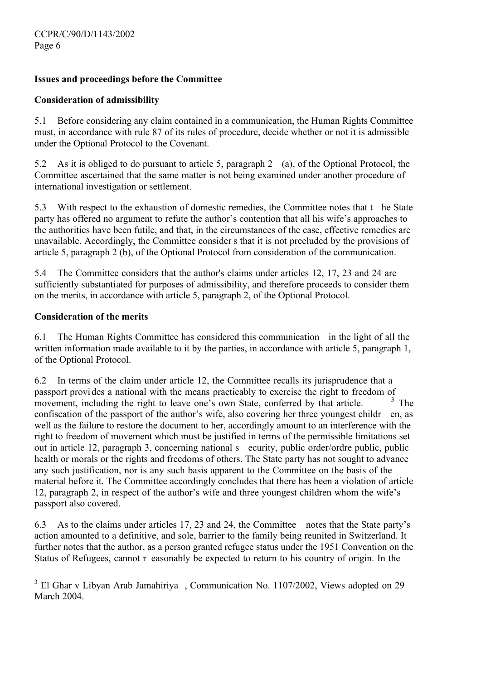## **Issues and proceedings before the Committee**

#### **Consideration of admissibility**

5.1 Before considering any claim contained in a communication, the Human Rights Committee must, in accordance with rule 87 of its rules of procedure, decide whether or not it is admissible under the Optional Protocol to the Covenant.

5.2 As it is obliged to do pursuant to article 5, paragraph 2 (a), of the Optional Protocol, the Committee ascertained that the same matter is not being examined under another procedure of international investigation or settlement.

5.3 With respect to the exhaustion of domestic remedies, the Committee notes that t he State party has offered no argument to refute the author's contention that all his wife's approaches to the authorities have been futile, and that, in the circumstances of the case, effective remedies are unavailable. Accordingly, the Committee consider s that it is not precluded by the provisions of article 5, paragraph 2 (b), of the Optional Protocol from consideration of the communication.

5.4 The Committee considers that the author's claims under articles 12, 17, 23 and 24 are sufficiently substantiated for purposes of admissibility, and therefore proceeds to consider them on the merits, in accordance with article 5, paragraph 2, of the Optional Protocol.

#### **Consideration of the merits**

 $\overline{a}$ 

6.1 The Human Rights Committee has considered this communication in the light of all the written information made available to it by the parties, in accordance with article 5, paragraph 1, of the Optional Protocol.

6.2 In terms of the claim under article 12, the Committee recalls its jurisprudence that a passport provides a national with the means practicably to exercise the right to freedom of<br>movement including the right to leave one's own State conferred by that article movement, including the right to leave one's own State, conferred by that article. confiscation of the passport of the author's wife, also covering her three youngest childr en, as well as the failure to restore the document to her, accordingly amount to an interference with the right to freedom of movement which must be justified in terms of the permissible limitations set out in article 12, paragraph 3, concerning national s ecurity, public order/ordre public, public health or morals or the rights and freedoms of others. The State party has not sought to advance any such justification, nor is any such basis apparent to the Committee on the basis of the material before it. The Committee accordingly concludes that there has been a violation of article 12, paragraph 2, in respect of the author's wife and three youngest children whom the wife's passport also covered.

6.3 As to the claims under articles 17, 23 and 24, the Committee notes that the State party's action amounted to a definitive, and sole, barrier to the family being reunited in Switzerland. It further notes that the author, as a person granted refugee status under the 1951 Convention on the Status of Refugees, cannot r easonably be expected to return to his country of origin. In the

<sup>&</sup>lt;sup>3</sup> El Ghar v Libyan Arab Jamahiriya , Communication No. 1107/2002, Views adopted on 29 March 2004.